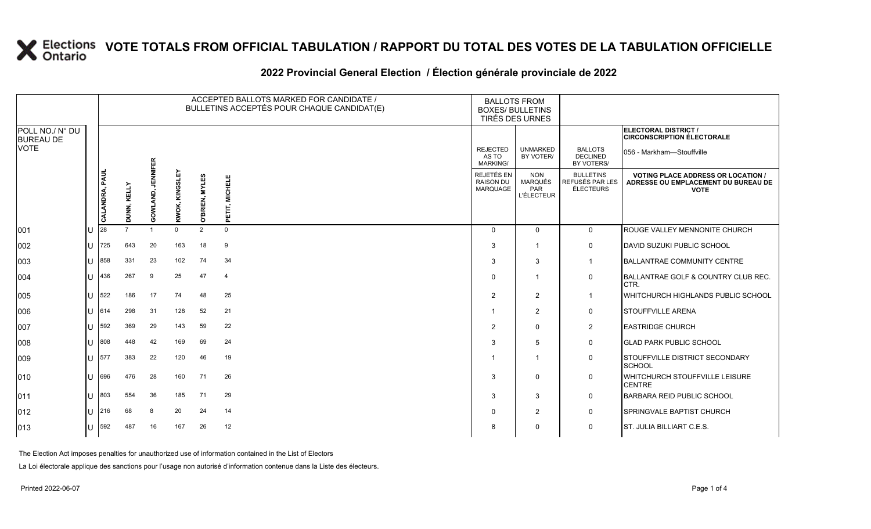#### **2022 Provincial General Election / Élection générale provinciale de 2022**

|                                     |    |                |                    |                             |                |                | ACCEPTED BALLOTS MARKED FOR CANDIDATE /<br>BULLETINS ACCEPTÉS POUR CHAQUE CANDIDAT(E) | <b>BALLOTS FROM</b><br><b>BOXES/ BULLETINS</b><br>TIRÉS DES URNES |                                                          |                                                  |                                                                                                 |
|-------------------------------------|----|----------------|--------------------|-----------------------------|----------------|----------------|---------------------------------------------------------------------------------------|-------------------------------------------------------------------|----------------------------------------------------------|--------------------------------------------------|-------------------------------------------------------------------------------------------------|
| POLL NO./ N° DU<br><b>BUREAU DE</b> |    |                |                    |                             |                |                |                                                                                       |                                                                   |                                                          |                                                  | ELECTORAL DISTRICT /<br><b>CIRCONSCRIPTION ÉLECTORALE</b>                                       |
| <b>NOTE</b>                         |    |                |                    |                             |                |                |                                                                                       | <b>REJECTED</b><br>AS TO<br>MARKING/                              | <b>UNMARKED</b><br>BY VOTER/                             | <b>BALLOTS</b><br><b>DECLINED</b><br>BY VOTERS/  | 056 - Markham—Stouffville                                                                       |
|                                     |    | CALANDRA, PAUL | <b>DUNN, KELLY</b> | <b>JENNIFER</b><br>GOWLAND, | KWOK, KINGSLEY | O'BRIEN, MYLES | <b>MICHELE</b><br>PETIT,                                                              | REJETÉS EN<br><b>RAISON DU</b><br>MARQUAGE                        | <b>NON</b><br><b>MARQUÉS</b><br>PAR<br><b>L'ÉLECTEUR</b> | <b>BULLETINS</b><br>REFUSÉS PAR LES<br>ÉLECTEURS | <b>VOTING PLACE ADDRESS OR LOCATION /</b><br>ADRESSE OU EMPLACEMENT DU BUREAU DE<br><b>VOTE</b> |
| 001                                 | lu | 28             | $\overline{7}$     |                             | $\Omega$       | $\overline{2}$ | $\Omega$                                                                              | $\Omega$                                                          | $\Omega$                                                 | $\mathbf 0$                                      | ROUGE VALLEY MENNONITE CHURCH                                                                   |
| 002                                 | lu | 725            | 643                | 20                          | 163            | 18             | 9                                                                                     | 3                                                                 |                                                          | 0                                                | DAVID SUZUKI PUBLIC SCHOOL                                                                      |
| 003                                 | Iυ | 858            | 331                | 23                          | 102            | 74             | 34                                                                                    | 3                                                                 | 3                                                        | $\overline{1}$                                   | <b>BALLANTRAE COMMUNITY CENTRE</b>                                                              |
| 004                                 | lu | 436            | 267                | 9                           | 25             | 47             | $\overline{4}$                                                                        | $\Omega$                                                          |                                                          | $\mathbf 0$                                      | BALLANTRAE GOLF & COUNTRY CLUB REC.<br>CTR.                                                     |
| 005                                 | IП | 522            | 186                | 17                          | 74             | 48             | 25                                                                                    | 2                                                                 | 2                                                        | $\mathbf{1}$                                     | WHITCHURCH HIGHLANDS PUBLIC SCHOOL                                                              |
| 006                                 | lU | 614            | 298                | 31                          | 128            | 52             | 21                                                                                    |                                                                   | 2                                                        | $\mathbf 0$                                      | <b>STOUFFVILLE ARENA</b>                                                                        |
| 007                                 | lu | 592            | 369                | 29                          | 143            | 59             | 22                                                                                    | $\overline{2}$                                                    | $\mathbf 0$                                              | $\overline{2}$                                   | <b>EASTRIDGE CHURCH</b>                                                                         |
| 008                                 | ΙU | 808            | 448                | 42                          | 169            | 69             | 24                                                                                    | 3                                                                 | 5                                                        | 0                                                | <b>GLAD PARK PUBLIC SCHOOL</b>                                                                  |
| 009                                 | lu | 577            | 383                | 22                          | 120            | 46             | 19                                                                                    |                                                                   |                                                          | 0                                                | STOUFFVILLE DISTRICT SECONDARY<br><b>SCHOOL</b>                                                 |
| $ 010\rangle$                       | Iп | 696            | 476                | 28                          | 160            | 71             | 26                                                                                    | 3                                                                 | $\Omega$                                                 | $\mathbf 0$                                      | WHITCHURCH STOUFFVILLE LEISURE<br><b>CENTRE</b>                                                 |
| $ 011\rangle$                       | lu | 803            | 554                | 36                          | 185            | 71             | 29                                                                                    | 3                                                                 | 3                                                        | $\mathbf 0$                                      | <b>BARBARA REID PUBLIC SCHOOL</b>                                                               |
| $ 012\rangle$                       | lu | 216            | 68                 | 8                           | 20             | 24             | 14                                                                                    |                                                                   | 2                                                        | 0                                                | SPRINGVALE BAPTIST CHURCH                                                                       |
| 013                                 | lu | 592            | 487                | 16                          | 167            | 26             | 12                                                                                    | 8                                                                 | $\mathbf 0$                                              | 0                                                | <b>ST. JULIA BILLIART C.E.S.</b>                                                                |

The Election Act imposes penalties for unauthorized use of information contained in the List of Electors

La Loi électorale applique des sanctions pour l'usage non autorisé d'information contenue dans la Liste des électeurs.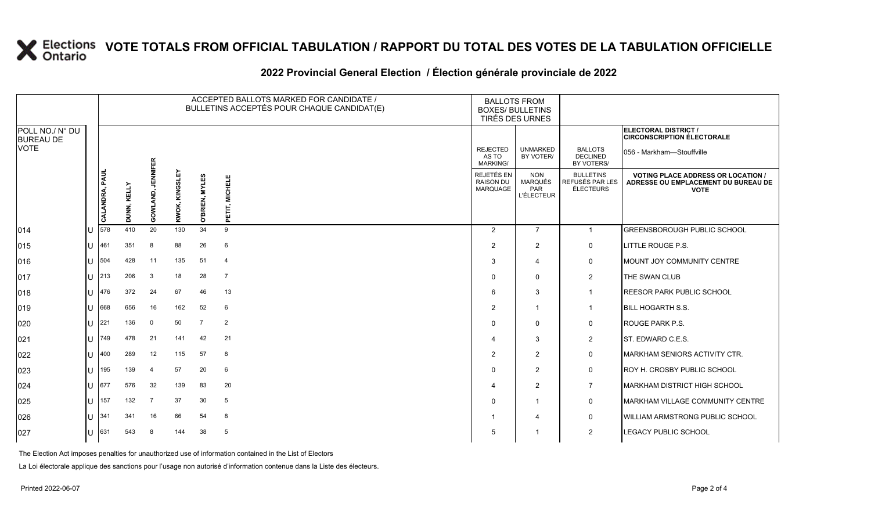#### **2022 Provincial General Election / Élection générale provinciale de 2022**

|                                     |              |                |                    |                   |                |                       | ACCEPTED BALLOTS MARKED FOR CANDIDATE /<br>BULLETINS ACCEPTÉS POUR CHAQUE CANDIDAT(E) | <b>BALLOTS FROM</b><br><b>BOXES/ BULLETINS</b> | TIRÉS DES URNES                                          |                                                  |                                                                                                 |
|-------------------------------------|--------------|----------------|--------------------|-------------------|----------------|-----------------------|---------------------------------------------------------------------------------------|------------------------------------------------|----------------------------------------------------------|--------------------------------------------------|-------------------------------------------------------------------------------------------------|
| POLL NO./ N° DU<br><b>BUREAU DE</b> |              |                |                    |                   |                |                       |                                                                                       |                                                |                                                          |                                                  | ELECTORAL DISTRICT /<br><b>CIRCONSCRIPTION ÉLECTORALE</b>                                       |
| <b>VOTE</b>                         |              |                |                    |                   |                |                       |                                                                                       | <b>REJECTED</b><br>AS TO<br><b>MARKING/</b>    | <b>UNMARKED</b><br>BY VOTER/                             | <b>BALLOTS</b><br><b>DECLINED</b><br>BY VOTERS/  | 056 - Markham-Stouffville                                                                       |
|                                     |              | CALANDRA, PAUL | <b>DUNN, KELLY</b> | GOWLAND, JENNIFER | KWOK, KINGSLEY | <b>O'BRIEN, MYLES</b> | <b>MICHELE</b><br>PETIT,                                                              | REJETÉS EN<br><b>RAISON DU</b><br>MARQUAGE     | <b>NON</b><br><b>MARQUÉS</b><br>PAR<br><b>L'ÉLECTEUR</b> | <b>BULLETINS</b><br>REFUSÉS PAR LES<br>ÉLECTEURS | <b>VOTING PLACE ADDRESS OR LOCATION /</b><br>ADRESSE OU EMPLACEMENT DU BUREAU DE<br><b>VOTE</b> |
| 014                                 |              | 578            | 410                | 20                | 130            | 34                    | 9                                                                                     | 2                                              | $\overline{7}$                                           | $\mathbf{1}$                                     | <b>GREENSBOROUGH PUBLIC SCHOOL</b>                                                              |
| 015                                 |              | $1J$ 461       | 351                | 8                 | 88             | 26                    | 6                                                                                     | 2                                              | $\overline{2}$                                           | 0                                                | LITTLE ROUGE P.S.                                                                               |
| 016                                 |              | $\bigcup$ 504  | 428                | 11                | 135            | 51                    | $\overline{4}$                                                                        | 3                                              | $\overline{4}$                                           | $\mathbf 0$                                      | MOUNT JOY COMMUNITY CENTRE                                                                      |
| 017                                 | U            | 213            | 206                | 3                 | 18             | 28                    | $\overline{7}$                                                                        | $\Omega$                                       | $\mathbf 0$                                              | $\overline{2}$                                   | THE SWAN CLUB                                                                                   |
| 018                                 |              | $U$ 476        | 372                | 24                | 67             | 46                    | 13                                                                                    | 6                                              | 3                                                        | $\mathbf{1}$                                     | <b>REESOR PARK PUBLIC SCHOOL</b>                                                                |
| $ 019\rangle$                       | U            | 668            | 656                | 16                | 162            | 52                    | 6                                                                                     | 2                                              | $\overline{1}$                                           | $\mathbf{1}$                                     | <b>BILL HOGARTH S.S.</b>                                                                        |
| 020                                 | U            | 221            | 136                | $\mathbf 0$       | 50             | $\overline{7}$        | $\overline{2}$                                                                        | $\Omega$                                       | $\Omega$                                                 | $\mathbf 0$                                      | <b>ROUGE PARK P.S.</b>                                                                          |
| 021                                 |              | $\bigcup$ 749  | 478                | 21                | 141            | 42                    | 21                                                                                    |                                                | 3                                                        | $\overline{2}$                                   | ST. EDWARD C.E.S.                                                                               |
| 022                                 | U            | 400            | 289                | 12                | 115            | 57                    | 8                                                                                     | $\overline{2}$                                 | $\overline{2}$                                           | $\mathbf 0$                                      | <b>MARKHAM SENIORS ACTIVITY CTR.</b>                                                            |
| 023                                 | U            | 195            | 139                | 4                 | 57             | 20                    | 6                                                                                     | $\Omega$                                       | $\overline{2}$                                           | $\mathbf 0$                                      | <b>ROY H. CROSBY PUBLIC SCHOOL</b>                                                              |
| 024                                 |              | $\bigcup$ 677  | 576                | 32                | 139            | 83                    | 20                                                                                    |                                                | $\overline{2}$                                           | $\overline{7}$                                   | <b>MARKHAM DISTRICT HIGH SCHOOL</b>                                                             |
| 025                                 | $\mathbf{U}$ | 157            | 132                | $\overline{7}$    | 37             | 30                    | 5                                                                                     | $\Omega$                                       | $\overline{1}$                                           | $\mathbf 0$                                      | MARKHAM VILLAGE COMMUNITY CENTRE                                                                |
| 026                                 |              | $11 \, 341$    | 341                | 16                | 66             | 54                    | 8                                                                                     |                                                | 4                                                        | $\mathbf 0$                                      | <b>WILLIAM ARMSTRONG PUBLIC SCHOOL</b>                                                          |
| 027                                 |              | $U$ 631        | 543                | 8                 | 144            | 38                    | 5                                                                                     | 5                                              | -1                                                       | 2                                                | <b>LEGACY PUBLIC SCHOOL</b>                                                                     |

The Election Act imposes penalties for unauthorized use of information contained in the List of Electors

La Loi électorale applique des sanctions pour l'usage non autorisé d'information contenue dans la Liste des électeurs.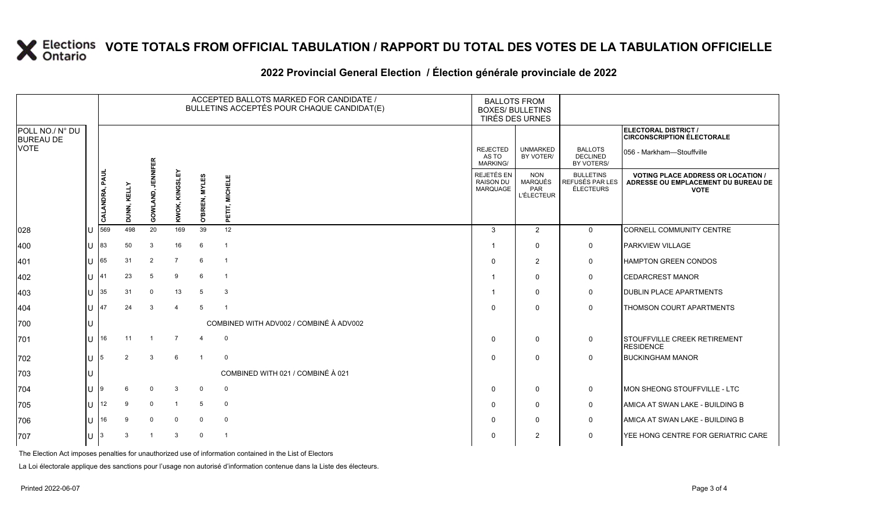### **2022 Provincial General Election / Élection générale provinciale de 2022**

|                                     |                |                |                    |                            |                      |                | ACCEPTED BALLOTS MARKED FOR CANDIDATE /<br>BULLETINS ACCEPTÉS POUR CHAQUE CANDIDAT(E) | <b>BALLOTS FROM</b><br><b>BOXES/ BULLETINS</b><br>TIRÉS DES URNES |                                                   |                                                  |                                                                                                 |
|-------------------------------------|----------------|----------------|--------------------|----------------------------|----------------------|----------------|---------------------------------------------------------------------------------------|-------------------------------------------------------------------|---------------------------------------------------|--------------------------------------------------|-------------------------------------------------------------------------------------------------|
| POLL NO./ N° DU<br><b>BUREAU DE</b> |                |                |                    |                            |                      |                |                                                                                       |                                                                   |                                                   |                                                  | ELECTORAL DISTRICT /<br><b>CIRCONSCRIPTION ÉLECTORALE</b>                                       |
| VOTE                                |                |                |                    |                            |                      |                |                                                                                       | <b>REJECTED</b><br>AS TO<br><b>MARKING/</b>                       | <b>UNMARKED</b><br>BY VOTER/                      | <b>BALLOTS</b><br><b>DECLINED</b><br>BY VOTERS/  | 056 - Markham-Stouffville                                                                       |
|                                     |                | CALANDRA, PAUI | <b>DUNN, KELLY</b> | <b>JENNIFER</b><br>GOWLAND | ᇟ<br>KINGSL<br>KWOK, | O'BRIEN, MYLES | <b>MICHELE</b><br>PETIT, I                                                            | REJETÉS EN<br><b>RAISON DU</b><br><b>MARQUAGE</b>                 | <b>NON</b><br>MARQUÉS<br>PAR<br><b>L'ÉLECTEUR</b> | <b>BULLETINS</b><br>REFUSÉS PAR LES<br>ÉLECTEURS | <b>VOTING PLACE ADDRESS OR LOCATION /</b><br>ADRESSE OU EMPLACEMENT DU BUREAU DE<br><b>VOTE</b> |
| 028                                 |                | 569            | 498                | 20                         | 169                  | 39             | 12                                                                                    | 3                                                                 | 2                                                 | $\mathbf 0$                                      | CORNELL COMMUNITY CENTRE                                                                        |
| 400                                 |                | 83             | 50                 | 3                          | 16                   | 6              | $\overline{1}$                                                                        | -1                                                                | $\Omega$                                          | 0                                                | PARKVIEW VILLAGE                                                                                |
| 401                                 |                | 65             | 31                 | $\overline{2}$             | $\overline{7}$       | 6              | $\overline{1}$                                                                        | $\Omega$                                                          | $\overline{2}$                                    | $\mathbf 0$                                      | <b>HAMPTON GREEN CONDOS</b>                                                                     |
| 402                                 | $\mathbf{L}$   | 141            | 23                 | 5                          | 9                    | 6              | $\overline{1}$                                                                        |                                                                   | $\Omega$                                          | 0                                                | <b>CEDARCREST MANOR</b>                                                                         |
| 403                                 |                | 35             | 31                 | $\Omega$                   | 13                   | 5              | 3                                                                                     | -1                                                                | $\Omega$                                          | 0                                                | <b>DUBLIN PLACE APARTMENTS</b>                                                                  |
| 404                                 |                | 47             | 24                 | 3                          | $\overline{4}$       | 5              | $\overline{1}$                                                                        | $\Omega$                                                          | $\Omega$                                          | $\Omega$                                         | THOMSON COURT APARTMENTS                                                                        |
| 700                                 |                |                |                    |                            |                      |                | COMBINED WITH ADV002 / COMBINÉ À ADV002                                               |                                                                   |                                                   |                                                  |                                                                                                 |
| 701                                 |                | 16             | 11                 |                            | 7                    | $\overline{4}$ | $\mathbf 0$                                                                           | $\Omega$                                                          | 0                                                 | 0                                                | STOUFFVILLE CREEK RETIREMENT<br><b>RESIDENCE</b>                                                |
| 702                                 |                |                | 2                  | 3                          | $6\phantom{1}6$      |                | $\mathbf 0$                                                                           | $\Omega$                                                          | $\mathbf{0}$                                      | $\Omega$                                         | <b>BUCKINGHAM MANOR</b>                                                                         |
| 703                                 |                |                |                    |                            |                      |                | COMBINED WITH 021 / COMBINÉ À 021                                                     |                                                                   |                                                   |                                                  |                                                                                                 |
| 704                                 |                |                | 6                  | $\Omega$                   | 3                    | $\mathbf{0}$   | 0                                                                                     | $\Omega$                                                          | $\mathbf 0$                                       | 0                                                | MON SHEONG STOUFFVILLE - LTC                                                                    |
| 705                                 | $\blacksquare$ | 12             | 9                  | $\mathbf 0$                |                      | 5              | $\mathbf 0$                                                                           | $\Omega$                                                          | $\Omega$                                          | 0                                                | AMICA AT SWAN LAKE - BUILDING B                                                                 |
| 706                                 | $\mathbf{L}$   | 16             | 9                  | $\mathbf 0$                | 0                    | 0              | $\mathbf 0$                                                                           | $\Omega$                                                          | $\Omega$                                          | $\mathbf 0$                                      | AMICA AT SWAN LAKE - BUILDING B                                                                 |
| 707                                 |                |                | 3                  |                            | 3                    | $\Omega$       | $\overline{1}$                                                                        | $\Omega$                                                          | 2                                                 | 0                                                | YEE HONG CENTRE FOR GERIATRIC CARE                                                              |

The Election Act imposes penalties for unauthorized use of information contained in the List of Electors

La Loi électorale applique des sanctions pour l'usage non autorisé d'information contenue dans la Liste des électeurs.